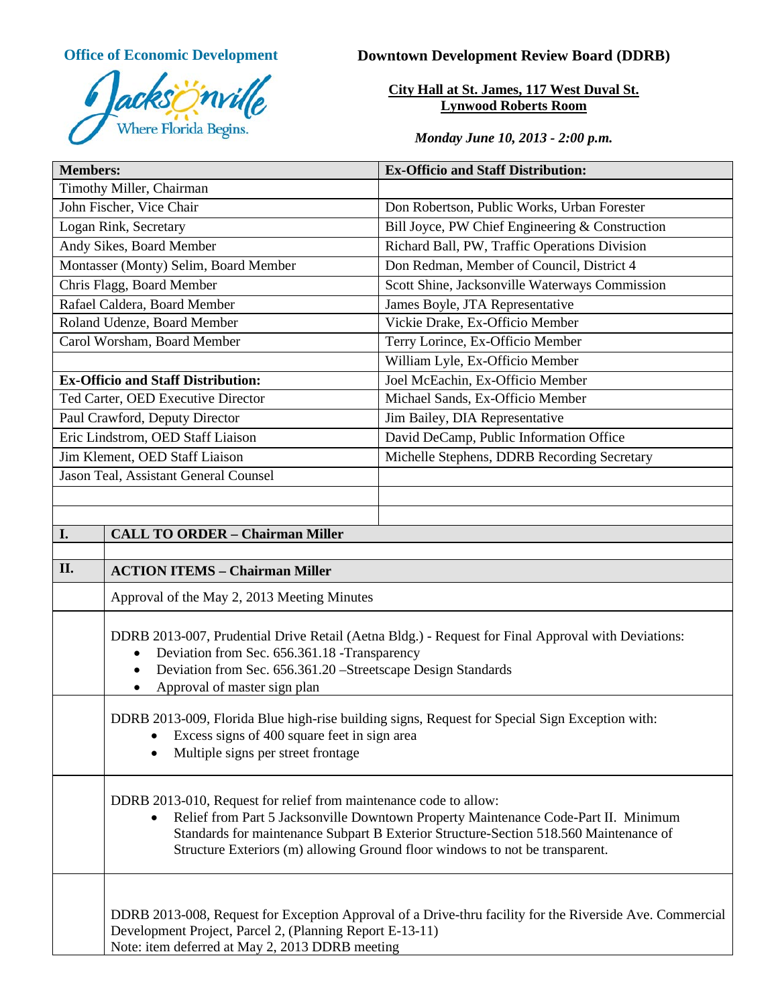

# **Office of Economic Development Downtown Development Review Board (DDRB)**

**City Hall at St. James, 117 West Duval St. Lynwood Roberts Room**

*Monday June 10, 2013 - 2:00 p.m.*

| <b>Members:</b>                                                                                                                                                                      |                                                                                                                                                                                                                                                                                                                                   | <b>Ex-Officio and Staff Distribution:</b>       |  |
|--------------------------------------------------------------------------------------------------------------------------------------------------------------------------------------|-----------------------------------------------------------------------------------------------------------------------------------------------------------------------------------------------------------------------------------------------------------------------------------------------------------------------------------|-------------------------------------------------|--|
| Timothy Miller, Chairman                                                                                                                                                             |                                                                                                                                                                                                                                                                                                                                   |                                                 |  |
| John Fischer, Vice Chair                                                                                                                                                             |                                                                                                                                                                                                                                                                                                                                   | Don Robertson, Public Works, Urban Forester     |  |
| Logan Rink, Secretary                                                                                                                                                                |                                                                                                                                                                                                                                                                                                                                   | Bill Joyce, PW Chief Engineering & Construction |  |
| Andy Sikes, Board Member                                                                                                                                                             |                                                                                                                                                                                                                                                                                                                                   | Richard Ball, PW, Traffic Operations Division   |  |
| Montasser (Monty) Selim, Board Member                                                                                                                                                |                                                                                                                                                                                                                                                                                                                                   | Don Redman, Member of Council, District 4       |  |
| Chris Flagg, Board Member                                                                                                                                                            |                                                                                                                                                                                                                                                                                                                                   | Scott Shine, Jacksonville Waterways Commission  |  |
| Rafael Caldera, Board Member                                                                                                                                                         |                                                                                                                                                                                                                                                                                                                                   | James Boyle, JTA Representative                 |  |
| Roland Udenze, Board Member                                                                                                                                                          |                                                                                                                                                                                                                                                                                                                                   | Vickie Drake, Ex-Officio Member                 |  |
| Carol Worsham, Board Member                                                                                                                                                          |                                                                                                                                                                                                                                                                                                                                   | Terry Lorince, Ex-Officio Member                |  |
|                                                                                                                                                                                      |                                                                                                                                                                                                                                                                                                                                   | William Lyle, Ex-Officio Member                 |  |
| <b>Ex-Officio and Staff Distribution:</b>                                                                                                                                            |                                                                                                                                                                                                                                                                                                                                   | Joel McEachin, Ex-Officio Member                |  |
| Ted Carter, OED Executive Director                                                                                                                                                   |                                                                                                                                                                                                                                                                                                                                   | Michael Sands, Ex-Officio Member                |  |
| Paul Crawford, Deputy Director                                                                                                                                                       |                                                                                                                                                                                                                                                                                                                                   | Jim Bailey, DIA Representative                  |  |
| Eric Lindstrom, OED Staff Liaison                                                                                                                                                    |                                                                                                                                                                                                                                                                                                                                   | David DeCamp, Public Information Office         |  |
| Jim Klement, OED Staff Liaison                                                                                                                                                       |                                                                                                                                                                                                                                                                                                                                   | Michelle Stephens, DDRB Recording Secretary     |  |
| Jason Teal, Assistant General Counsel                                                                                                                                                |                                                                                                                                                                                                                                                                                                                                   |                                                 |  |
|                                                                                                                                                                                      |                                                                                                                                                                                                                                                                                                                                   |                                                 |  |
|                                                                                                                                                                                      |                                                                                                                                                                                                                                                                                                                                   |                                                 |  |
| I.                                                                                                                                                                                   | <b>CALL TO ORDER - Chairman Miller</b>                                                                                                                                                                                                                                                                                            |                                                 |  |
|                                                                                                                                                                                      |                                                                                                                                                                                                                                                                                                                                   |                                                 |  |
| II.                                                                                                                                                                                  | <b>ACTION ITEMS - Chairman Miller</b>                                                                                                                                                                                                                                                                                             |                                                 |  |
|                                                                                                                                                                                      | Approval of the May 2, 2013 Meeting Minutes                                                                                                                                                                                                                                                                                       |                                                 |  |
|                                                                                                                                                                                      | DDRB 2013-007, Prudential Drive Retail (Aetna Bldg.) - Request for Final Approval with Deviations:<br>Deviation from Sec. 656.361.18 - Transparency<br>$\bullet$<br>Deviation from Sec. 656.361.20 - Streetscape Design Standards<br>$\bullet$<br>Approval of master sign plan<br>٠                                               |                                                 |  |
| DDRB 2013-009, Florida Blue high-rise building signs, Request for Special Sign Exception with:<br>Excess signs of 400 square feet in sign area<br>Multiple signs per street frontage |                                                                                                                                                                                                                                                                                                                                   |                                                 |  |
|                                                                                                                                                                                      | DDRB 2013-010, Request for relief from maintenance code to allow:<br>Relief from Part 5 Jacksonville Downtown Property Maintenance Code-Part II. Minimum<br>Standards for maintenance Subpart B Exterior Structure-Section 518.560 Maintenance of<br>Structure Exteriors (m) allowing Ground floor windows to not be transparent. |                                                 |  |
|                                                                                                                                                                                      | DDRB 2013-008, Request for Exception Approval of a Drive-thru facility for the Riverside Ave. Commercial<br>Development Project, Parcel 2, (Planning Report E-13-11)<br>Note: item deferred at May 2, 2013 DDRB meeting                                                                                                           |                                                 |  |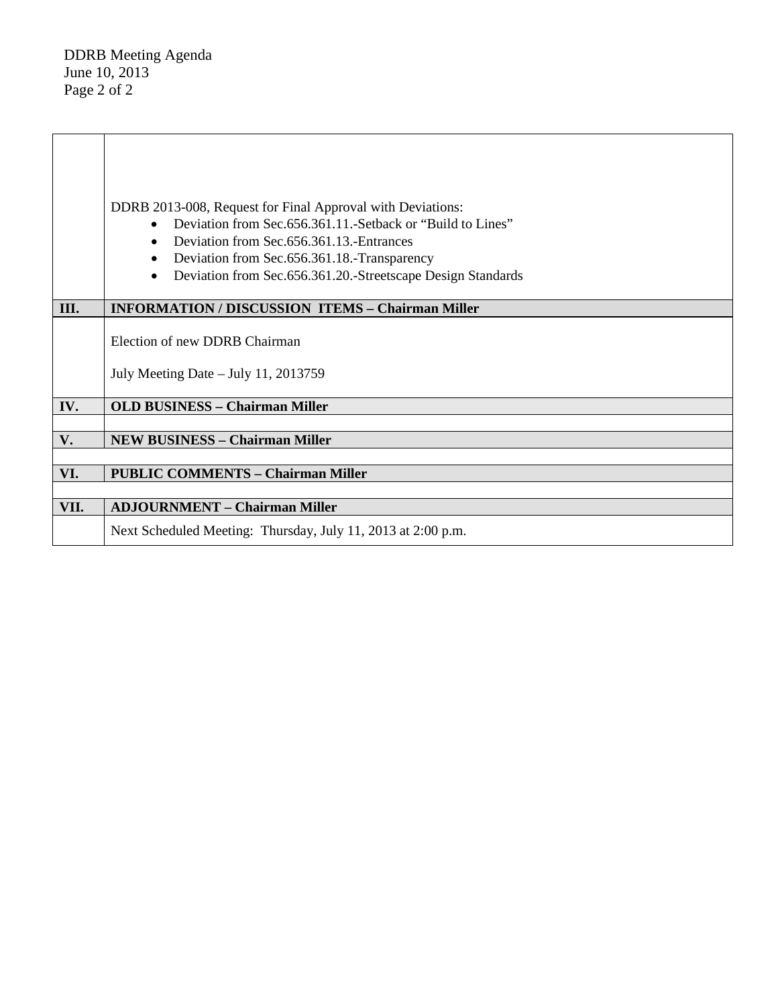DDRB Meeting Agenda June 10, 2013 Page 2 of 2

|      | DDRB 2013-008, Request for Final Approval with Deviations:                 |  |  |
|------|----------------------------------------------------------------------------|--|--|
|      | Deviation from Sec. 656.361.11. - Setback or "Build to Lines"<br>$\bullet$ |  |  |
|      | Deviation from Sec. 656.361.13. Entrances<br>$\bullet$                     |  |  |
|      | Deviation from Sec.656.361.18.-Transparency<br>٠                           |  |  |
|      | Deviation from Sec.656.361.20.-Streetscape Design Standards<br>٠           |  |  |
|      |                                                                            |  |  |
| III. | <b>INFORMATION / DISCUSSION ITEMS - Chairman Miller</b>                    |  |  |
|      |                                                                            |  |  |
|      | Election of new DDRB Chairman                                              |  |  |
|      |                                                                            |  |  |
|      | July Meeting Date $-$ July 11, 2013759                                     |  |  |
|      |                                                                            |  |  |
| IV.  | <b>OLD BUSINESS - Chairman Miller</b>                                      |  |  |
| V.   | <b>NEW BUSINESS - Chairman Miller</b>                                      |  |  |
|      |                                                                            |  |  |
| VI.  | <b>PUBLIC COMMENTS - Chairman Miller</b>                                   |  |  |
|      |                                                                            |  |  |
| VII. | <b>ADJOURNMENT - Chairman Miller</b>                                       |  |  |
|      | Next Scheduled Meeting: Thursday, July 11, 2013 at 2:00 p.m.               |  |  |
|      |                                                                            |  |  |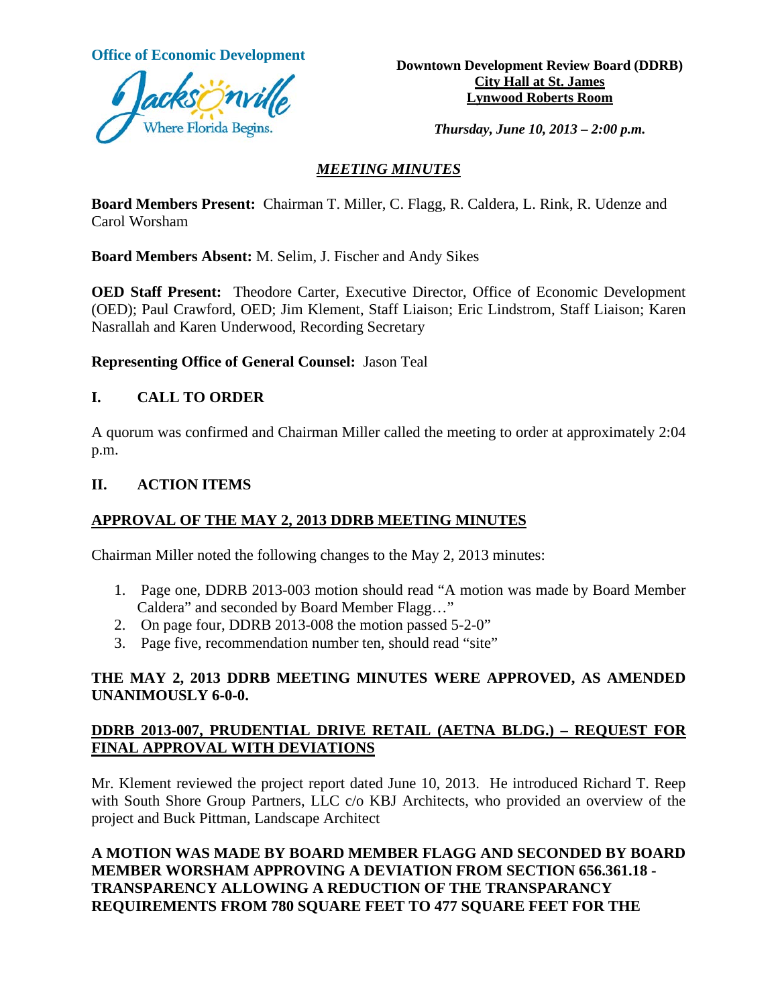

**Office of Economic Development**<br> **Downtown Development Review Board (DDRB) City Hall at St. James Lynwood Roberts Room**

*Thursday, June 10, 2013 – 2:00 p.m.*

# *MEETING MINUTES*

**Board Members Present:** Chairman T. Miller, C. Flagg, R. Caldera, L. Rink, R. Udenze and Carol Worsham

**Board Members Absent:** M. Selim, J. Fischer and Andy Sikes

**OED Staff Present:** Theodore Carter, Executive Director, Office of Economic Development (OED); Paul Crawford, OED; Jim Klement, Staff Liaison; Eric Lindstrom, Staff Liaison; Karen Nasrallah and Karen Underwood, Recording Secretary

**Representing Office of General Counsel:** Jason Teal

# **I. CALL TO ORDER**

A quorum was confirmed and Chairman Miller called the meeting to order at approximately 2:04 p.m.

#### **II. ACTION ITEMS**

# **APPROVAL OF THE MAY 2, 2013 DDRB MEETING MINUTES**

Chairman Miller noted the following changes to the May 2, 2013 minutes:

- 1. Page one, DDRB 2013-003 motion should read "A motion was made by Board Member Caldera" and seconded by Board Member Flagg…"
- 2. On page four, DDRB 2013-008 the motion passed 5-2-0"
- 3. Page five, recommendation number ten, should read "site"

# **THE MAY 2, 2013 DDRB MEETING MINUTES WERE APPROVED, AS AMENDED UNANIMOUSLY 6-0-0.**

# **DDRB 2013-007, PRUDENTIAL DRIVE RETAIL (AETNA BLDG.) – REQUEST FOR FINAL APPROVAL WITH DEVIATIONS**

Mr. Klement reviewed the project report dated June 10, 2013. He introduced Richard T. Reep with South Shore Group Partners, LLC c/o KBJ Architects, who provided an overview of the project and Buck Pittman, Landscape Architect

**A MOTION WAS MADE BY BOARD MEMBER FLAGG AND SECONDED BY BOARD MEMBER WORSHAM APPROVING A DEVIATION FROM SECTION 656.361.18 - TRANSPARENCY ALLOWING A REDUCTION OF THE TRANSPARANCY REQUIREMENTS FROM 780 SQUARE FEET TO 477 SQUARE FEET FOR THE**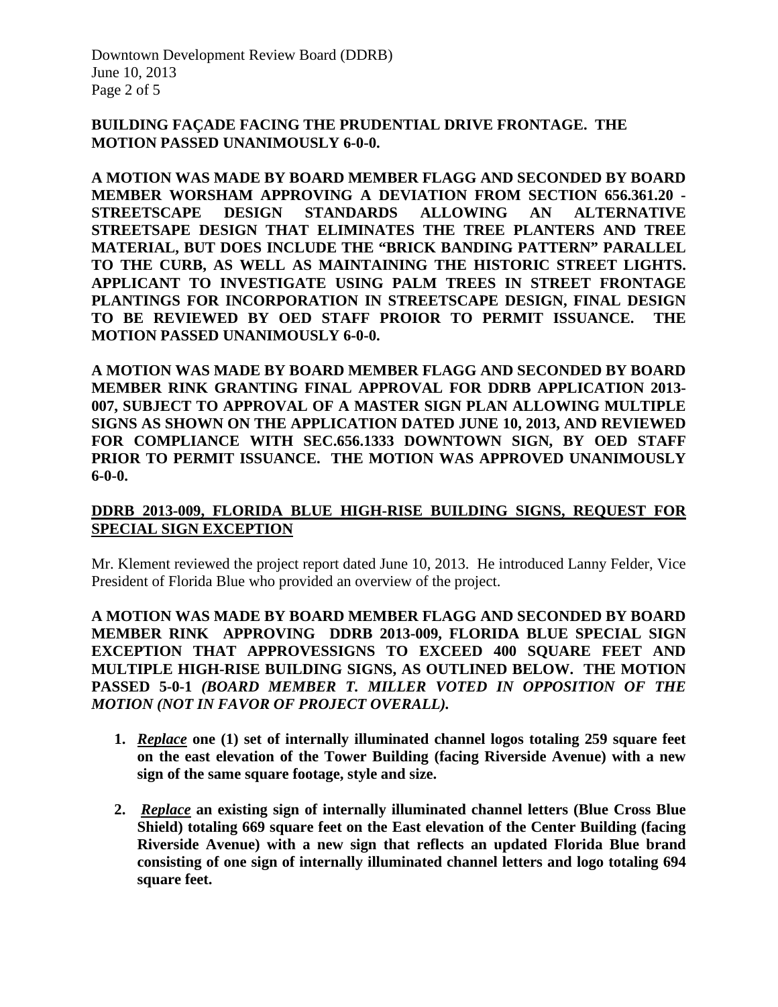Downtown Development Review Board (DDRB) June 10, 2013 Page 2 of 5

#### **BUILDING FAÇADE FACING THE PRUDENTIAL DRIVE FRONTAGE. THE MOTION PASSED UNANIMOUSLY 6-0-0.**

**A MOTION WAS MADE BY BOARD MEMBER FLAGG AND SECONDED BY BOARD MEMBER WORSHAM APPROVING A DEVIATION FROM SECTION 656.361.20 - STREETSCAPE DESIGN STANDARDS ALLOWING AN ALTERNATIVE STREETSAPE DESIGN THAT ELIMINATES THE TREE PLANTERS AND TREE MATERIAL, BUT DOES INCLUDE THE "BRICK BANDING PATTERN" PARALLEL TO THE CURB, AS WELL AS MAINTAINING THE HISTORIC STREET LIGHTS. APPLICANT TO INVESTIGATE USING PALM TREES IN STREET FRONTAGE PLANTINGS FOR INCORPORATION IN STREETSCAPE DESIGN, FINAL DESIGN TO BE REVIEWED BY OED STAFF PROIOR TO PERMIT ISSUANCE. THE MOTION PASSED UNANIMOUSLY 6-0-0.**

**A MOTION WAS MADE BY BOARD MEMBER FLAGG AND SECONDED BY BOARD MEMBER RINK GRANTING FINAL APPROVAL FOR DDRB APPLICATION 2013- 007, SUBJECT TO APPROVAL OF A MASTER SIGN PLAN ALLOWING MULTIPLE SIGNS AS SHOWN ON THE APPLICATION DATED JUNE 10, 2013, AND REVIEWED FOR COMPLIANCE WITH SEC.656.1333 DOWNTOWN SIGN, BY OED STAFF PRIOR TO PERMIT ISSUANCE. THE MOTION WAS APPROVED UNANIMOUSLY 6-0-0.**

# **DDRB 2013-009, FLORIDA BLUE HIGH-RISE BUILDING SIGNS, REQUEST FOR SPECIAL SIGN EXCEPTION**

Mr. Klement reviewed the project report dated June 10, 2013. He introduced Lanny Felder, Vice President of Florida Blue who provided an overview of the project.

**A MOTION WAS MADE BY BOARD MEMBER FLAGG AND SECONDED BY BOARD MEMBER RINK APPROVING DDRB 2013-009, FLORIDA BLUE SPECIAL SIGN EXCEPTION THAT APPROVESSIGNS TO EXCEED 400 SQUARE FEET AND MULTIPLE HIGH-RISE BUILDING SIGNS, AS OUTLINED BELOW. THE MOTION PASSED 5-0-1** *(BOARD MEMBER T. MILLER VOTED IN OPPOSITION OF THE MOTION (NOT IN FAVOR OF PROJECT OVERALL).*

- **1.** *Replace* **one (1) set of internally illuminated channel logos totaling 259 square feet on the east elevation of the Tower Building (facing Riverside Avenue) with a new sign of the same square footage, style and size.**
- **2.** *Replace* **an existing sign of internally illuminated channel letters (Blue Cross Blue Shield) totaling 669 square feet on the East elevation of the Center Building (facing Riverside Avenue) with a new sign that reflects an updated Florida Blue brand consisting of one sign of internally illuminated channel letters and logo totaling 694 square feet.**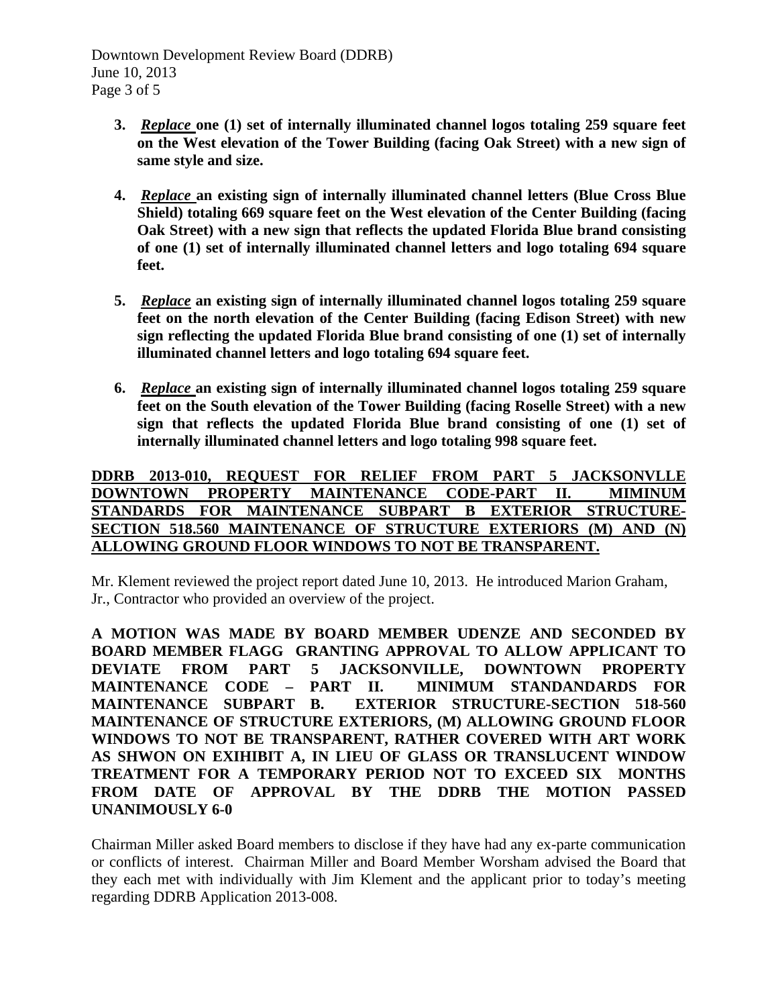Downtown Development Review Board (DDRB) June 10, 2013 Page 3 of 5

- **3.** *Replace* **one (1) set of internally illuminated channel logos totaling 259 square feet on the West elevation of the Tower Building (facing Oak Street) with a new sign of same style and size.**
- **4.** *Replace* **an existing sign of internally illuminated channel letters (Blue Cross Blue Shield) totaling 669 square feet on the West elevation of the Center Building (facing Oak Street) with a new sign that reflects the updated Florida Blue brand consisting of one (1) set of internally illuminated channel letters and logo totaling 694 square feet.**
- **5.** *Replace* **an existing sign of internally illuminated channel logos totaling 259 square feet on the north elevation of the Center Building (facing Edison Street) with new sign reflecting the updated Florida Blue brand consisting of one (1) set of internally illuminated channel letters and logo totaling 694 square feet.**
- **6.** *Replace* **an existing sign of internally illuminated channel logos totaling 259 square feet on the South elevation of the Tower Building (facing Roselle Street) with a new sign that reflects the updated Florida Blue brand consisting of one (1) set of internally illuminated channel letters and logo totaling 998 square feet.**

#### **DDRB 2013-010, REQUEST FOR RELIEF FROM PART 5 JACKSONVLLE DOWNTOWN PROPERTY MAINTENANCE CODE-PART II. MIMINUM STANDARDS FOR MAINTENANCE SUBPART B EXTERIOR STRUCTURE-SECTION 518.560 MAINTENANCE OF STRUCTURE EXTERIORS (M) AND (N) ALLOWING GROUND FLOOR WINDOWS TO NOT BE TRANSPARENT.**

Mr. Klement reviewed the project report dated June 10, 2013. He introduced Marion Graham, Jr., Contractor who provided an overview of the project.

**A MOTION WAS MADE BY BOARD MEMBER UDENZE AND SECONDED BY BOARD MEMBER FLAGG GRANTING APPROVAL TO ALLOW APPLICANT TO DEVIATE FROM PART 5 JACKSONVILLE, DOWNTOWN PROPERTY MAINTENANCE CODE – PART II. MINIMUM STANDANDARDS FOR MAINTENANCE SUBPART B. EXTERIOR STRUCTURE-SECTION 518-560 MAINTENANCE OF STRUCTURE EXTERIORS, (M) ALLOWING GROUND FLOOR WINDOWS TO NOT BE TRANSPARENT, RATHER COVERED WITH ART WORK AS SHWON ON EXIHIBIT A, IN LIEU OF GLASS OR TRANSLUCENT WINDOW TREATMENT FOR A TEMPORARY PERIOD NOT TO EXCEED SIX MONTHS FROM DATE OF APPROVAL BY THE DDRB THE MOTION PASSED UNANIMOUSLY 6-0**

Chairman Miller asked Board members to disclose if they have had any ex-parte communication or conflicts of interest. Chairman Miller and Board Member Worsham advised the Board that they each met with individually with Jim Klement and the applicant prior to today's meeting regarding DDRB Application 2013-008.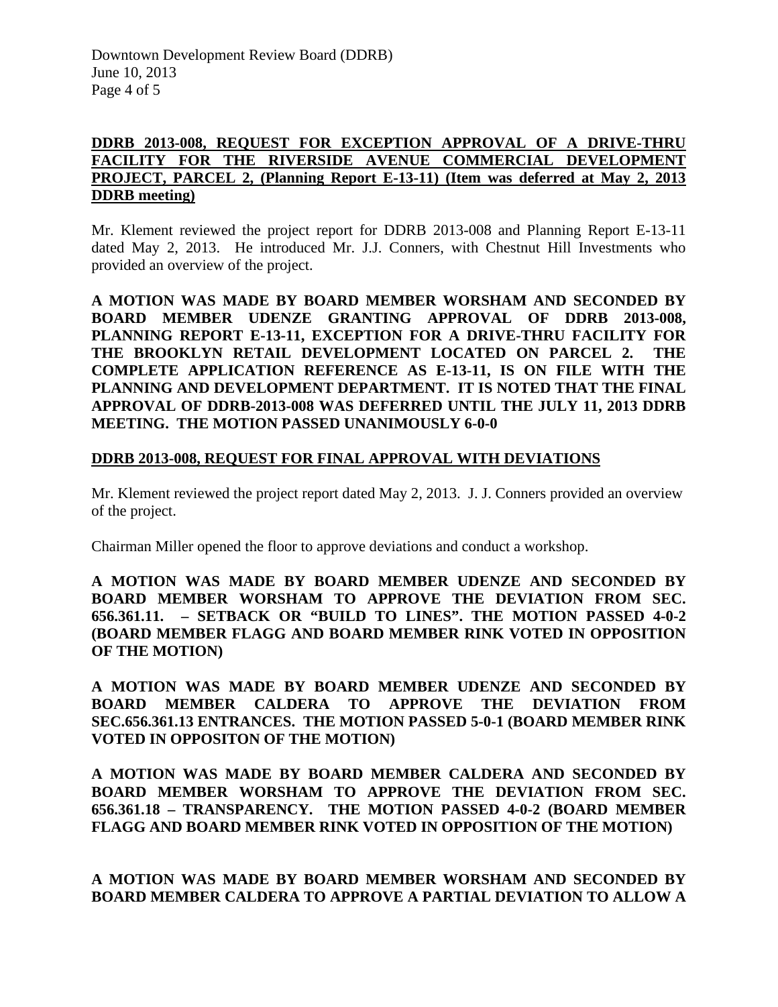# **DDRB 2013-008, REQUEST FOR EXCEPTION APPROVAL OF A DRIVE-THRU FACILITY FOR THE RIVERSIDE AVENUE COMMERCIAL DEVELOPMENT PROJECT, PARCEL 2, (Planning Report E-13-11) (Item was deferred at May 2, 2013 DDRB meeting)**

Mr. Klement reviewed the project report for DDRB 2013-008 and Planning Report E-13-11 dated May 2, 2013. He introduced Mr. J.J. Conners, with Chestnut Hill Investments who provided an overview of the project.

**A MOTION WAS MADE BY BOARD MEMBER WORSHAM AND SECONDED BY BOARD MEMBER UDENZE GRANTING APPROVAL OF DDRB 2013-008, PLANNING REPORT E-13-11, EXCEPTION FOR A DRIVE-THRU FACILITY FOR THE BROOKLYN RETAIL DEVELOPMENT LOCATED ON PARCEL 2. THE COMPLETE APPLICATION REFERENCE AS E-13-11, IS ON FILE WITH THE PLANNING AND DEVELOPMENT DEPARTMENT. IT IS NOTED THAT THE FINAL APPROVAL OF DDRB-2013-008 WAS DEFERRED UNTIL THE JULY 11, 2013 DDRB MEETING. THE MOTION PASSED UNANIMOUSLY 6-0-0**

#### **DDRB 2013-008, REQUEST FOR FINAL APPROVAL WITH DEVIATIONS**

Mr. Klement reviewed the project report dated May 2, 2013. J. J. Conners provided an overview of the project.

Chairman Miller opened the floor to approve deviations and conduct a workshop.

**A MOTION WAS MADE BY BOARD MEMBER UDENZE AND SECONDED BY BOARD MEMBER WORSHAM TO APPROVE THE DEVIATION FROM SEC. 656.361.11. – SETBACK OR "BUILD TO LINES". THE MOTION PASSED 4-0-2 (BOARD MEMBER FLAGG AND BOARD MEMBER RINK VOTED IN OPPOSITION OF THE MOTION)**

**A MOTION WAS MADE BY BOARD MEMBER UDENZE AND SECONDED BY BOARD MEMBER CALDERA TO APPROVE THE DEVIATION FROM SEC.656.361.13 ENTRANCES. THE MOTION PASSED 5-0-1 (BOARD MEMBER RINK VOTED IN OPPOSITON OF THE MOTION)**

**A MOTION WAS MADE BY BOARD MEMBER CALDERA AND SECONDED BY BOARD MEMBER WORSHAM TO APPROVE THE DEVIATION FROM SEC. 656.361.18 – TRANSPARENCY. THE MOTION PASSED 4-0-2 (BOARD MEMBER FLAGG AND BOARD MEMBER RINK VOTED IN OPPOSITION OF THE MOTION)**

**A MOTION WAS MADE BY BOARD MEMBER WORSHAM AND SECONDED BY BOARD MEMBER CALDERA TO APPROVE A PARTIAL DEVIATION TO ALLOW A**